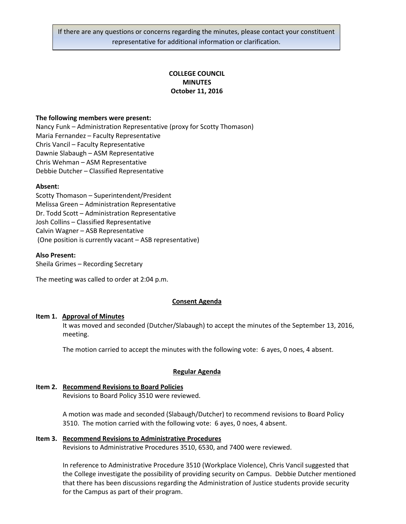If there are any questions or concerns regarding the minutes, please contact your constituent representative for additional information or clarification.

# **COLLEGE COUNCIL MINUTES October 11, 2016**

### **The following members were present:**

Nancy Funk – Administration Representative (proxy for Scotty Thomason) Maria Fernandez – Faculty Representative Chris Vancil – Faculty Representative Dawnie Slabaugh – ASM Representative Chris Wehman – ASM Representative Debbie Dutcher – Classified Representative

### **Absent:**

Scotty Thomason – Superintendent/President Melissa Green – Administration Representative Dr. Todd Scott – Administration Representative Josh Collins – Classified Representative Calvin Wagner – ASB Representative (One position is currently vacant – ASB representative)

### **Also Present:**

Sheila Grimes – Recording Secretary

The meeting was called to order at 2:04 p.m.

## **Consent Agenda**

### **Item 1. Approval of Minutes**

It was moved and seconded (Dutcher/Slabaugh) to accept the minutes of the September 13, 2016, meeting.

The motion carried to accept the minutes with the following vote: 6 ayes, 0 noes, 4 absent.

## **Regular Agenda**

# **Item 2. Recommend Revisions to Board Policies**

Revisions to Board Policy 3510 were reviewed.

A motion was made and seconded (Slabaugh/Dutcher) to recommend revisions to Board Policy 3510. The motion carried with the following vote: 6 ayes, 0 noes, 4 absent.

# **Item 3. Recommend Revisions to Administrative Procedures** Revisions to Administrative Procedures 3510, 6530, and 7400 were reviewed.

In reference to Administrative Procedure 3510 (Workplace Violence), Chris Vancil suggested that the College investigate the possibility of providing security on Campus. Debbie Dutcher mentioned that there has been discussions regarding the Administration of Justice students provide security for the Campus as part of their program.